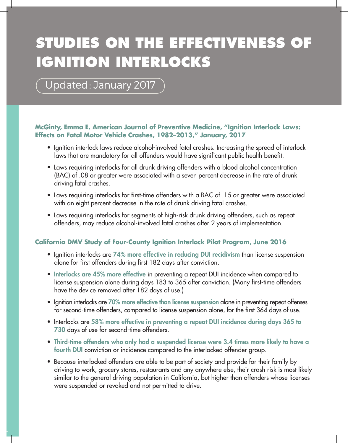# **STUDIES ON THE EFFECTIVENESS OF IGNITION INTERLOCKS**

Updated: January 2017

### **McGinty, Emma E. American Journal of Preventive Medicine, "Ignition Interlock Laws: Effects on Fatal Motor Vehicle Crashes, 1982–2013," January, 2017**

- Ignition interlock laws reduce alcohol-involved fatal crashes. Increasing the spread of interlock laws that are mandatory for all offenders would have significant public health benefit.
- Laws requiring interlocks for all drunk driving offenders with a blood alcohol concentration (BAC) of .08 or greater were associated with a seven percent decrease in the rate of drunk driving fatal crashes.
- Laws requiring interlocks for first-time offenders with a BAC of .15 or greater were associated with an eight percent decrease in the rate of drunk driving fatal crashes.
- Laws requiring interlocks for segments of high-risk drunk driving offenders, such as repeat offenders, may reduce alcohol-involved fatal crashes after 2 years of implementation.

# **California DMV Study of Four-County Ignition Interlock Pilot Program, June 2016**

- Ignition interlocks are 74% more effective in reducing DUI recidivism than license suspension alone for first offenders during first 182 days after conviction.
- Interlocks are 45% more effective in preventing a repeat DUI incidence when compared to license suspension alone during days 183 to 365 after conviction. (Many first-time offenders have the device removed after 182 days of use.)
- Ignition interlocks are 70% more effective than license suspension alone in preventing repeat offenses for second-time offenders, compared to license suspension alone, for the first 364 days of use.
- Interlocks are 58% more effective in preventing a repeat DUI incidence during days 365 to 730 days of use for second-time offenders.
- Third-time offenders who only had a suspended license were 3.4 times more likely to have a fourth DUI conviction or incidence compared to the interlocked offender group.
- Because interlocked offenders are able to be part of society and provide for their family by driving to work, grocery stores, restaurants and any anywhere else, their crash risk is most likely similar to the general driving population in California, but higher than offenders whose licenses were suspended or revoked and not permitted to drive.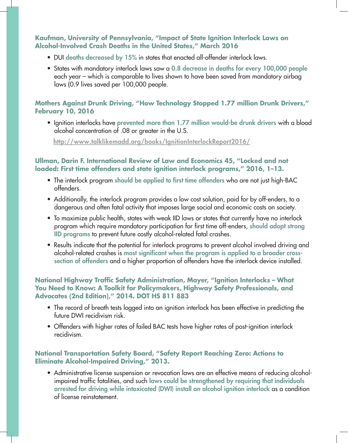## **Kaufman, University of Pennsylvania, "Impact of State Ignition Interlock Laws on Alcohol-Involved Crash Deaths in the United States," March 2016**

- DUI deaths decreased by 15% in states that enacted all-offender interlock laws.
- States with mandatory interlock laws saw a 0.8 decrease in deaths for every 100,000 people each year – which is comparable to lives shown to have been saved from mandatory airbag laws (0.9 lives saved per 100,000 people.

# **Mothers Against Drunk Driving, "How Technology Stopped 1.77 million Drunk Drivers," February 10, 2016**

• Ignition interlocks have prevented more than 1.77 million would-be drunk drivers with a blood alcohol concentration of .08 or greater in the U.S.

http://www.talklikemadd.org/books/IgnitionInterlockReport2016/

# **Ullman, Darin F. International Review of Law and Economics 45, "Locked and not loaded: First time offenders and state ignition interlock programs," 2016, 1–13.**

- The interlock program should be applied to first time offenders who are not just high-BAC offenders.
- Additionally, the interlock program provides a low cost solution, paid for by off-enders, to a dangerous and often fatal activity that imposes large social and economic costs on society.
- To maximize public health, states with weak IID laws or states that currently have no interlock program which require mandatory participation for first time off-enders, should adopt strong IID programs to prevent future costly alcohol-related fatal crashes.
- Results indicate that the potential for interlock programs to prevent alcohol involved driving and alcohol-related crashes is most significant when the program is applied to a broader crosssection of offenders and a higher proportion of offenders have the interlock device installed.

## **National Highway Traffic Safety Administration, Mayer, "Ignition Interlocks – What You Need to Know: A Toolkit for Policymakers, Highway Safety Professionals, and Advocates (2nd Edition)," 2014. DOT HS 811 883**

- The record of breath tests logged into an ignition interlock has been effective in predicting the future DWI recidivism risk.
- Offenders with higher rates of failed BAC tests have higher rates of post-ignition interlock recidivism.

# **National Transportation Safety Board, "Safety Report Reaching Zero: Actions to Eliminate Alcohol-Impaired Driving," 2013.**

• Administrative license suspension or revocation laws are an effective means of reducing alcoholimpaired traffic fatalities, and such laws could be strengthened by requiring that individuals arrested for driving while intoxicated (DWI) install an alcohol ignition interlock as a condition of license reinstatement.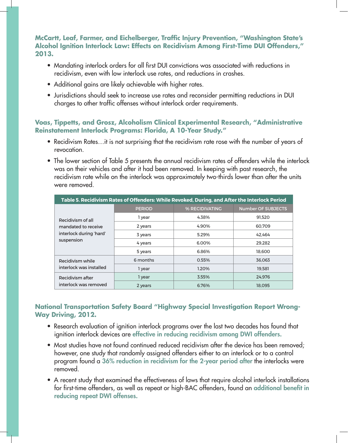# **McCartt, Leaf, Farmer, and Eichelberger, Traffic Injury Prevention, "Washington State's Alcohol Ignition Interlock Law: Effects on Recidivism Among First-Time DUI Offenders," 2013.**

- Mandating interlock orders for all first DUI convictions was associated with reductions in recidivism, even with low interlock use rates, and reductions in crashes.
- Additional gains are likely achievable with higher rates.
- Jurisdictions should seek to increase use rates and reconsider permitting reductions in DUI charges to other traffic offenses without interlock order requirements.

## **Voas, Tippetts, and Grosz, Alcoholism Clinical Experimental Research, "Administrative Reinstatement Interlock Programs: Florida, A 10-Year Study."**

- Recidivism Rates…it is not surprising that the recidivism rate rose with the number of years of revocation.
- The lower section of Table 5 presents the annual recidivism rates of offenders while the interlock was on their vehicles and after it had been removed. In keeping with past research, the recidivism rate while on the interlock was approximately two-thirds lower than after the units were removed.

| Table 5. Recidivism Rates of Offenders: While Revoked, During, and After the Interlock Period |               |                |                           |
|-----------------------------------------------------------------------------------------------|---------------|----------------|---------------------------|
| Recidivism of all<br>mandated to receive<br>interlock during 'hard'<br>suspension             | <b>PERIOD</b> | % RECIDIVATING | <b>Number OF SUBJECTS</b> |
|                                                                                               | 1 year        | 4.38%          | 91.520                    |
|                                                                                               | 2 years       | 4.90%          | 60.709                    |
|                                                                                               | 3 years       | 5.29%          | 42.464                    |
|                                                                                               | 4 years       | 6.00%          | 29.282                    |
|                                                                                               | 5 years       | 6.86%          | 18,600                    |
| Recidivism while<br>interlock was installed                                                   | 6 months      | 0.55%          | 36.063                    |
|                                                                                               | 1 year        | 1.20%          | 19.581                    |
| Recidivism after<br>interlock was removed                                                     | 1 year        | 3.55%          | 24.976                    |
|                                                                                               | 2 years       | 6.76%          | 18.095                    |

# **National Transportation Safety Board "Highway Special Investigation Report Wrong-Way Driving, 2012.**

- Research evaluation of ignition interlock programs over the last two decades has found that ignition interlock devices are effective in reducing recidivism among DWI offenders.
- Most studies have not found continued reduced recidivism after the device has been removed; however, one study that randomly assigned offenders either to an interlock or to a control program found a 36% reduction in recidivism for the 2-year period after the interlocks were removed.
- A recent study that examined the effectiveness of laws that require alcohol interlock installations for first-time offenders, as well as repeat or high-BAC offenders, found an additional benefit in reducing repeat DWI offenses.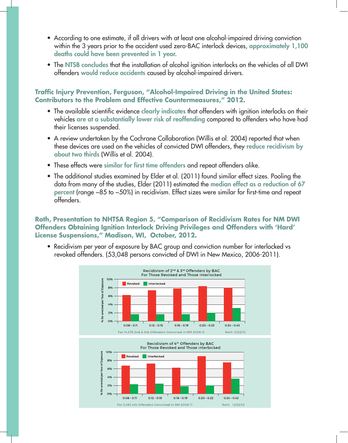- According to one estimate, if all drivers with at least one alcohol-impaired driving conviction within the 3 years prior to the accident used zero-BAC interlock devices, approximately 1,100 deaths could have been prevented in 1 year.
- The NTSB concludes that the installation of alcohol ignition interlocks on the vehicles of all DWI offenders would reduce accidents caused by alcohol-impaired drivers.

**Traffic Injury Prevention, Ferguson, "Alcohol-Impaired Driving in the United States: Contributors to the Problem and Effective Countermeasures," 2012.** 

- The available scientific evidence clearly indicates that offenders with ignition interlocks on their vehicles are at a substantially lower risk of reoffending compared to offenders who have had their licenses suspended.
- A review undertaken by the Cochrane Collaboration (Willis et al. 2004) reported that when these devices are used on the vehicles of convicted DWI offenders, they reduce recidivism by about two thirds (Willis et al. 2004).
- These effects were similar for first time offenders and repeat offenders alike.
- The additional studies examined by Elder et al. (2011) found similar effect sizes. Pooling the data from many of the studies, Elder (2011) estimated the median effect as a reduction of 67 percent (range −85 to −50%) in recidivism. Effect sizes were similar for first-time and repeat offenders.

## **Roth, Presentation to NHTSA Region 5, "Comparison of Recidivism Rates for NM DWI Offenders Obtaining Ignition Interlock Driving Privileges and Offenders with 'Hard' License Suspensions," Madison, WI, October, 2012.**

• Recidivism per year of exposure by BAC group and conviction number for interlocked vs revoked offenders. (53,048 persons convicted of DWI in New Mexico, 2006-2011).